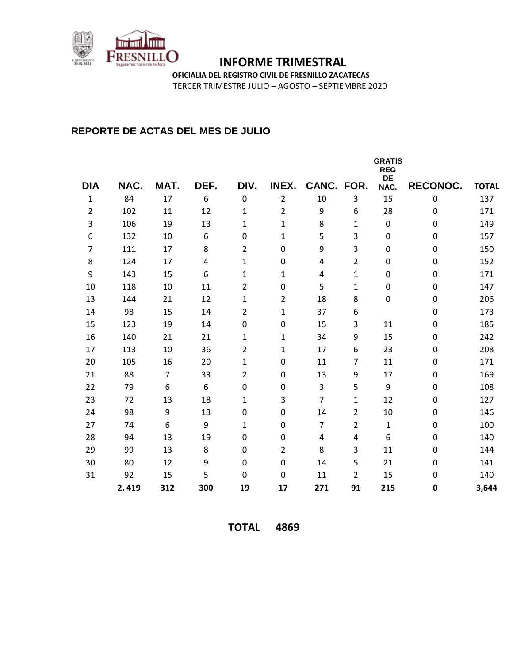

**OFICIALIA DEL REGISTRO CIVIL DE FRESNILLO ZACATECAS**

TERCER TRIMESTRE JULIO – AGOSTO – SEPTIEMBRE 2020

### **REPORTE DE ACTAS DEL MES DE JULIO**

|                |       |                |      |                | <b>GRATIS</b><br><b>REG</b><br>DE |                |                |              |          |              |
|----------------|-------|----------------|------|----------------|-----------------------------------|----------------|----------------|--------------|----------|--------------|
| <b>DIA</b>     | NAC.  | MAT.           | DEF. | DIV.           | INEX.                             | CANC. FOR.     |                | NAC.         | RECONOC. | <b>TOTAL</b> |
| $\mathbf{1}$   | 84    | 17             | 6    | $\mathbf 0$    | $\overline{2}$                    | 10             | 3              | 15           | 0        | 137          |
| $\overline{2}$ | 102   | 11             | 12   | $\mathbf{1}$   | $\overline{2}$                    | 9              | 6              | 28           | 0        | 171          |
| 3              | 106   | 19             | 13   | $\mathbf{1}$   | 1                                 | 8              | $\mathbf{1}$   | $\mathbf 0$  | 0        | 149          |
| 6              | 132   | 10             | 6    | 0              | 1                                 | 5              | 3              | $\mathbf 0$  | 0        | 157          |
| 7              | 111   | 17             | 8    | $\overline{2}$ | $\boldsymbol{0}$                  | 9              | 3              | $\mathbf 0$  | 0        | 150          |
| 8              | 124   | 17             | 4    | $\mathbf{1}$   | $\boldsymbol{0}$                  | 4              | $\overline{2}$ | 0            | 0        | 152          |
| 9              | 143   | 15             | 6    | $\mathbf{1}$   | 1                                 | 4              | $\mathbf{1}$   | 0            | 0        | 171          |
| 10             | 118   | 10             | 11   | $\overline{2}$ | $\boldsymbol{0}$                  | 5              | 1              | $\mathbf 0$  | 0        | 147          |
| 13             | 144   | 21             | 12   | $\mathbf{1}$   | $\overline{2}$                    | 18             | 8              | $\pmb{0}$    | 0        | 206          |
| 14             | 98    | 15             | 14   | $\overline{2}$ | $\mathbf 1$                       | 37             | 6              |              | 0        | 173          |
| 15             | 123   | 19             | 14   | 0              | $\pmb{0}$                         | 15             | 3              | 11           | 0        | 185          |
| 16             | 140   | 21             | 21   | 1              | $\mathbf{1}$                      | 34             | 9              | 15           | 0        | 242          |
| 17             | 113   | 10             | 36   | 2              | 1                                 | 17             | 6              | 23           | 0        | 208          |
| 20             | 105   | 16             | 20   | $\mathbf{1}$   | 0                                 | 11             | 7              | 11           | 0        | 171          |
| 21             | 88    | $\overline{7}$ | 33   | 2              | 0                                 | 13             | 9              | 17           | 0        | 169          |
| 22             | 79    | 6              | 6    | 0              | $\pmb{0}$                         | 3              | 5              | 9            | 0        | 108          |
| 23             | 72    | 13             | 18   | $\mathbf{1}$   | 3                                 | $\overline{7}$ | $\mathbf{1}$   | 12           | 0        | 127          |
| 24             | 98    | 9              | 13   | 0              | $\boldsymbol{0}$                  | 14             | $\overline{2}$ | 10           | 0        | 146          |
| 27             | 74    | 6              | 9    | $\mathbf{1}$   | $\boldsymbol{0}$                  | 7              | $\overline{2}$ | $\mathbf{1}$ | 0        | 100          |
| 28             | 94    | 13             | 19   | 0              | $\boldsymbol{0}$                  | 4              | 4              | 6            | 0        | 140          |
| 29             | 99    | 13             | 8    | 0              | $\overline{2}$                    | 8              | 3              | 11           | 0        | 144          |
| 30             | 80    | 12             | 9    | 0              | $\boldsymbol{0}$                  | 14             | 5              | 21           | 0        | 141          |
| 31             | 92    | 15             | 5    | 0              | $\pmb{0}$                         | 11             | $\overline{2}$ | 15           | 0        | 140          |
|                | 2,419 | 312            | 300  | 19             | 17                                | 271            | 91             | 215          | 0        | 3,644        |

**TOTAL 4869**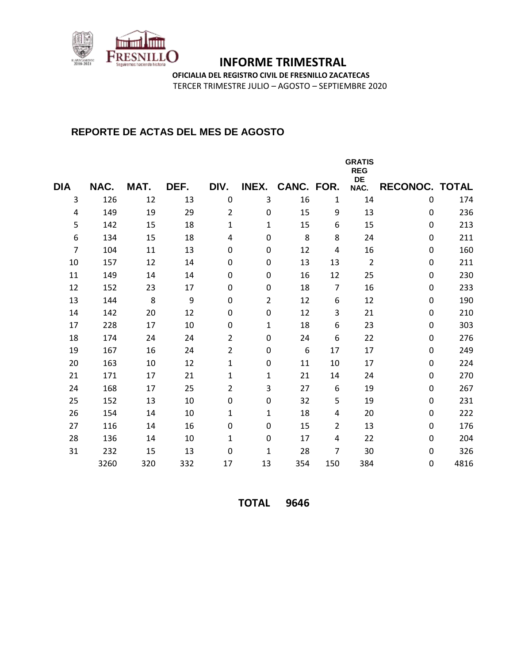

**OFICIALIA DEL REGISTRO CIVIL DE FRESNILLO ZACATECAS**

TERCER TRIMESTRE JULIO – AGOSTO – SEPTIEMBRE 2020

#### **REPORTE DE ACTAS DEL MES DE AGOSTO**

|            |      |      |      |                  |                |            |     | <b>GRATIS</b><br><b>REG</b> |                       |      |
|------------|------|------|------|------------------|----------------|------------|-----|-----------------------------|-----------------------|------|
| <b>DIA</b> | NAC. | MAT. | DEF. | DIV.             | INEX.          | CANC. FOR. |     | DE<br>NAC.                  | <b>RECONOC. TOTAL</b> |      |
| 3          | 126  | 12   | 13   | $\boldsymbol{0}$ | 3              | 16         | 1   | 14                          | $\mathbf 0$           | 174  |
| 4          | 149  | 19   | 29   | $\overline{2}$   | 0              | 15         | 9   | 13                          | $\mathbf 0$           | 236  |
| 5          | 142  | 15   | 18   | 1                | 1              | 15         | 6   | 15                          | $\Omega$              | 213  |
| 6          | 134  | 15   | 18   | 4                | 0              | 8          | 8   | 24                          | $\Omega$              | 211  |
| 7          | 104  | 11   | 13   | 0                | 0              | 12         | 4   | 16                          | 0                     | 160  |
| 10         | 157  | 12   | 14   | 0                | 0              | 13         | 13  | $\overline{2}$              | $\Omega$              | 211  |
| 11         | 149  | 14   | 14   | $\boldsymbol{0}$ | 0              | 16         | 12  | 25                          | $\mathbf 0$           | 230  |
| 12         | 152  | 23   | 17   | $\boldsymbol{0}$ | $\pmb{0}$      | 18         | 7   | 16                          | 0                     | 233  |
| 13         | 144  | 8    | 9    | $\boldsymbol{0}$ | $\overline{2}$ | 12         | 6   | 12                          | 0                     | 190  |
| 14         | 142  | 20   | 12   | $\mathbf 0$      | $\pmb{0}$      | 12         | 3   | 21                          | 0                     | 210  |
| 17         | 228  | 17   | 10   | 0                | 1              | 18         | 6   | 23                          | $\Omega$              | 303  |
| 18         | 174  | 24   | 24   | $\overline{2}$   | $\pmb{0}$      | 24         | 6   | 22                          | 0                     | 276  |
| 19         | 167  | 16   | 24   | $\overline{2}$   | $\pmb{0}$      | 6          | 17  | 17                          | $\Omega$              | 249  |
| 20         | 163  | 10   | 12   | $\mathbf{1}$     | $\pmb{0}$      | 11         | 10  | 17                          | 0                     | 224  |
| 21         | 171  | 17   | 21   | $\mathbf{1}$     | 1              | 21         | 14  | 24                          | 0                     | 270  |
| 24         | 168  | 17   | 25   | $\overline{2}$   | 3              | 27         | 6   | 19                          | 0                     | 267  |
| 25         | 152  | 13   | 10   | $\pmb{0}$        | $\pmb{0}$      | 32         | 5   | 19                          | $\Omega$              | 231  |
| 26         | 154  | 14   | 10   | 1                | 1              | 18         | 4   | 20                          | 0                     | 222  |
| 27         | 116  | 14   | 16   | 0                | $\pmb{0}$      | 15         | 2   | 13                          | 0                     | 176  |
| 28         | 136  | 14   | 10   | 1                | 0              | 17         | 4   | 22                          | 0                     | 204  |
| 31         | 232  | 15   | 13   | 0                | 1              | 28         | 7   | 30                          | 0                     | 326  |
|            | 3260 | 320  | 332  | 17               | 13             | 354        | 150 | 384                         | $\Omega$              | 4816 |

**TOTAL 9646**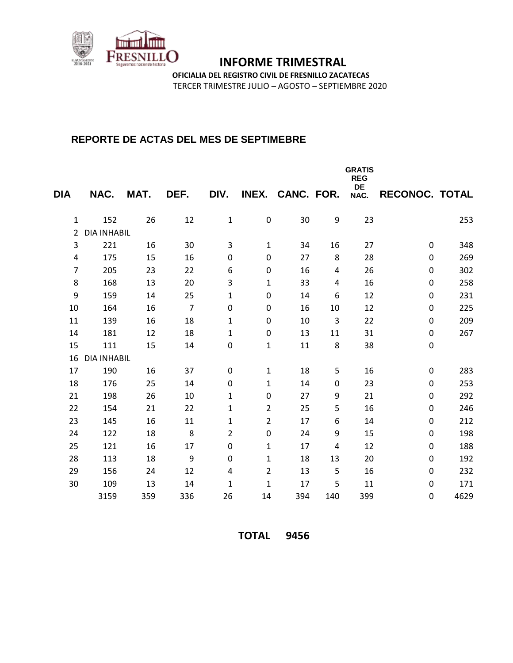

**OFICIALIA DEL REGISTRO CIVIL DE FRESNILLO ZACATECAS**

TERCER TRIMESTRE JULIO – AGOSTO – SEPTIEMBRE 2020

### **REPORTE DE ACTAS DEL MES DE SEPTIMEBRE**

|                  |                    |      |                |                         |                |                  |     | <b>GRATIS</b><br><b>REG</b><br>DE |                  |      |
|------------------|--------------------|------|----------------|-------------------------|----------------|------------------|-----|-----------------------------------|------------------|------|
| <b>DIA</b>       | NAC.               | MAT. | DEF.           | DIV.                    |                | INEX. CANC. FOR. |     | NAC.                              | RECONOC. TOTAL   |      |
| 1                | 152                | 26   | 12             | $\mathbf 1$             | $\pmb{0}$      | 30               | 9   | 23                                |                  | 253  |
| $\overline{2}$   | <b>DIA INHABIL</b> |      |                |                         |                |                  |     |                                   |                  |      |
| 3                | 221                | 16   | 30             | 3                       | 1              | 34               | 16  | 27                                | $\mathbf 0$      | 348  |
| 4                | 175                | 15   | 16             | 0                       | $\pmb{0}$      | 27               | 8   | 28                                | $\Omega$         | 269  |
| $\overline{7}$   | 205                | 23   | 22             | 6                       | $\pmb{0}$      | 16               | 4   | 26                                | $\Omega$         | 302  |
| 8                | 168                | 13   | 20             | 3                       | 1              | 33               | 4   | 16                                | 0                | 258  |
| $\boldsymbol{9}$ | 159                | 14   | 25             | $\mathbf{1}$            | $\pmb{0}$      | 14               | 6   | 12                                | $\mathbf 0$      | 231  |
| 10               | 164                | 16   | $\overline{7}$ | 0                       | $\pmb{0}$      | 16               | 10  | 12                                | 0                | 225  |
| 11               | 139                | 16   | 18             | 1                       | $\pmb{0}$      | 10               | 3   | 22                                | $\mathbf 0$      | 209  |
| 14               | 181                | 12   | 18             | $\mathbf{1}$            | $\pmb{0}$      | 13               | 11  | 31                                | 0                | 267  |
| 15               | 111                | 15   | 14             | $\boldsymbol{0}$        | 1              | 11               | 8   | 38                                | $\pmb{0}$        |      |
| 16               | <b>DIA INHABIL</b> |      |                |                         |                |                  |     |                                   |                  |      |
| 17               | 190                | 16   | 37             | $\boldsymbol{0}$        | $\mathbf{1}$   | 18               | 5   | 16                                | $\boldsymbol{0}$ | 283  |
| 18               | 176                | 25   | 14             | $\mathbf 0$             | 1              | 14               | 0   | 23                                | $\mathbf 0$      | 253  |
| 21               | 198                | 26   | 10             | $\mathbf{1}$            | $\pmb{0}$      | 27               | 9   | 21                                | 0                | 292  |
| 22               | 154                | 21   | 22             | $\mathbf{1}$            | $\overline{2}$ | 25               | 5   | 16                                | 0                | 246  |
| 23               | 145                | 16   | 11             | $\mathbf{1}$            | $\overline{2}$ | 17               | 6   | 14                                | 0                | 212  |
| 24               | 122                | 18   | 8              | 2                       | 0              | 24               | 9   | 15                                | 0                | 198  |
| 25               | 121                | 16   | 17             | 0                       | 1              | 17               | 4   | 12                                | 0                | 188  |
| 28               | 113                | 18   | 9              | 0                       | 1              | 18               | 13  | 20                                | 0                | 192  |
| 29               | 156                | 24   | 12             | $\overline{\mathbf{4}}$ | 2              | 13               | 5   | 16                                | $\Omega$         | 232  |
| 30               | 109                | 13   | 14             | $\mathbf{1}$            | 1              | 17               | 5   | 11                                | $\Omega$         | 171  |
|                  | 3159               | 359  | 336            | 26                      | 14             | 394              | 140 | 399                               | $\Omega$         | 4629 |

**TOTAL 9456**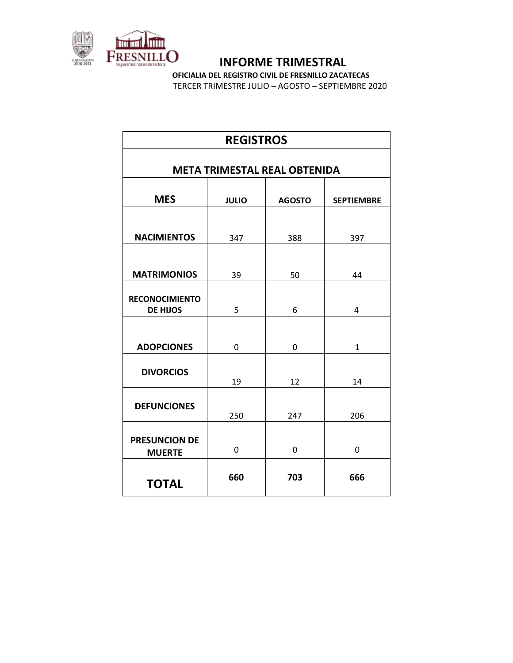

**OFICIALIA DEL REGISTRO CIVIL DE FRESNILLO ZACATECAS**

TERCER TRIMESTRE JULIO – AGOSTO – SEPTIEMBRE 2020

| <b>REGISTROS</b>                         |              |               |                   |  |  |  |
|------------------------------------------|--------------|---------------|-------------------|--|--|--|
| <b>META TRIMESTAL REAL OBTENIDA</b>      |              |               |                   |  |  |  |
|                                          |              |               |                   |  |  |  |
| <b>MES</b>                               | <b>JULIO</b> | <b>AGOSTO</b> | <b>SEPTIEMBRE</b> |  |  |  |
| <b>NACIMIENTOS</b>                       | 347          | 388           | 397               |  |  |  |
| <b>MATRIMONIOS</b>                       | 39           | 50            | 44                |  |  |  |
| <b>RECONOCIMIENTO</b><br><b>DE HIJOS</b> | 5            | 6             | 4                 |  |  |  |
| <b>ADOPCIONES</b>                        | 0            | 0             | $\mathbf{1}$      |  |  |  |
| <b>DIVORCIOS</b>                         | 19           | 12            | 14                |  |  |  |
| <b>DEFUNCIONES</b>                       | 250          | 247           | 206               |  |  |  |
| <b>PRESUNCION DE</b><br><b>MUERTE</b>    | 0            | 0             | 0                 |  |  |  |
| <b>TOTAL</b>                             | 660          | 703           | 666               |  |  |  |